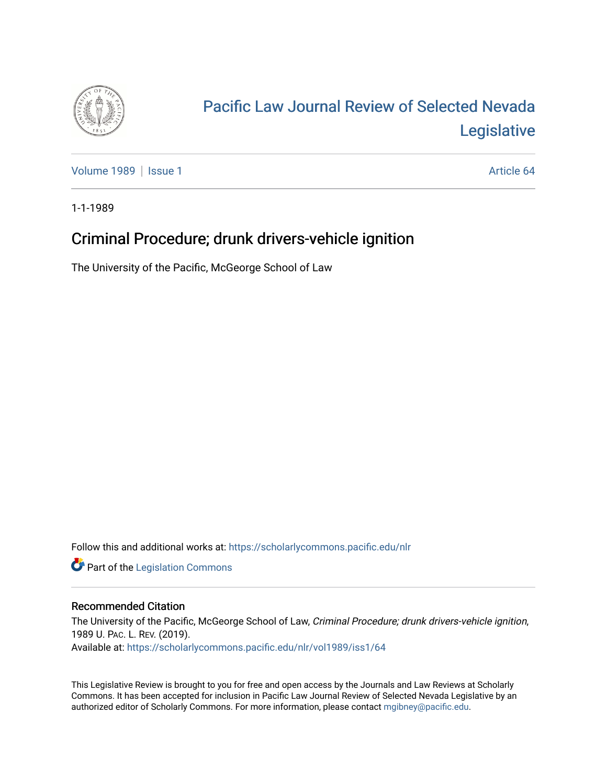

## [Pacific Law Journal Review of Selected Nevada](https://scholarlycommons.pacific.edu/nlr)  [Legislative](https://scholarlycommons.pacific.edu/nlr)

[Volume 1989](https://scholarlycommons.pacific.edu/nlr/vol1989) | [Issue 1](https://scholarlycommons.pacific.edu/nlr/vol1989/iss1) Article 64

1-1-1989

## Criminal Procedure; drunk drivers-vehicle ignition

The University of the Pacific, McGeorge School of Law

Follow this and additional works at: [https://scholarlycommons.pacific.edu/nlr](https://scholarlycommons.pacific.edu/nlr?utm_source=scholarlycommons.pacific.edu%2Fnlr%2Fvol1989%2Fiss1%2F64&utm_medium=PDF&utm_campaign=PDFCoverPages) 

**Part of the [Legislation Commons](http://network.bepress.com/hgg/discipline/859?utm_source=scholarlycommons.pacific.edu%2Fnlr%2Fvol1989%2Fiss1%2F64&utm_medium=PDF&utm_campaign=PDFCoverPages)** 

## Recommended Citation

The University of the Pacific, McGeorge School of Law, Criminal Procedure; drunk drivers-vehicle ignition, 1989 U. PAC. L. REV. (2019). Available at: [https://scholarlycommons.pacific.edu/nlr/vol1989/iss1/64](https://scholarlycommons.pacific.edu/nlr/vol1989/iss1/64?utm_source=scholarlycommons.pacific.edu%2Fnlr%2Fvol1989%2Fiss1%2F64&utm_medium=PDF&utm_campaign=PDFCoverPages)

This Legislative Review is brought to you for free and open access by the Journals and Law Reviews at Scholarly Commons. It has been accepted for inclusion in Pacific Law Journal Review of Selected Nevada Legislative by an authorized editor of Scholarly Commons. For more information, please contact [mgibney@pacific.edu](mailto:mgibney@pacific.edu).